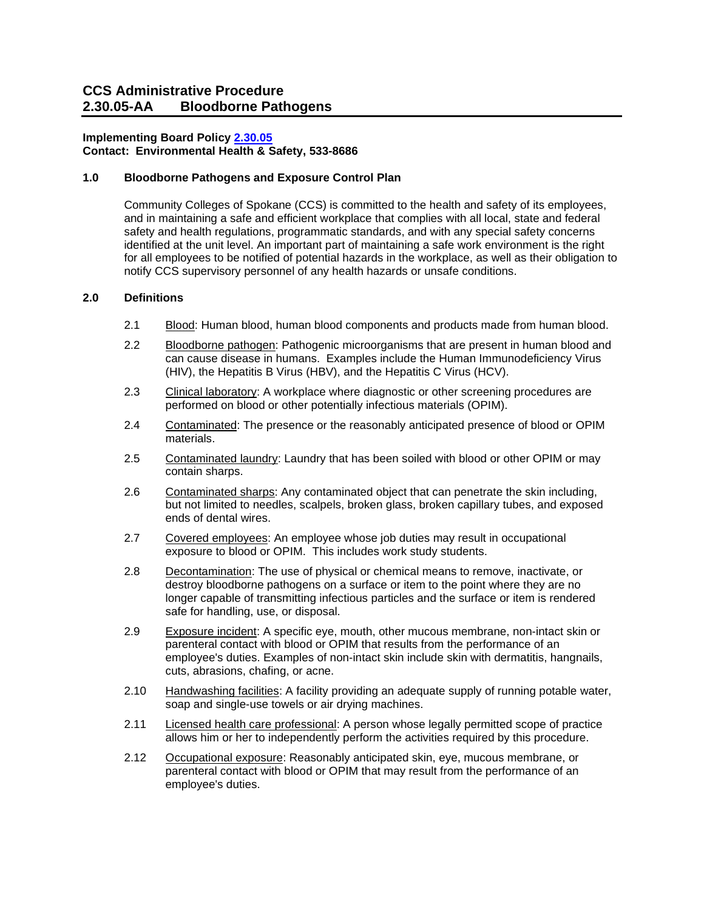### **Implementing Board Policy [2.30.05](https://ccs.spokane.edu/About-Us/Leadership/Board-of-Trustees/Policies-Procedures/Chapter2#AccWE2-9)**

 **Contact: Environmental Health & Safety, 533-8686** 

#### **1.0 Bloodborne Pathogens and Exposure Control Plan**

 Community Colleges of Spokane (CCS) is committed to the health and safety of its employees, for all employees to be notified of potential hazards in the workplace, as well as their obligation to and in maintaining a safe and efficient workplace that complies with all local, state and federal safety and health regulations, programmatic standards, and with any special safety concerns identified at the unit level. An important part of maintaining a safe work environment is the right notify CCS supervisory personnel of any health hazards or unsafe conditions.

#### **2.0 Definitions**

- 2.1 Blood: Human blood, human blood components and products made from human blood.
- (HIV), the Hepatitis B Virus (HBV), and the Hepatitis C Virus (HCV). 2.2 Bloodborne pathogen: Pathogenic microorganisms that are present in human blood and can cause disease in humans. Examples include the Human Immunodeficiency Virus
- 2.3 Clinical laboratory: A workplace where diagnostic or other screening procedures are performed on blood or other potentially infectious materials (OPIM).
- 2.4 Contaminated: The presence or the reasonably anticipated presence of blood or OPIM materials.
- 2.5 Contaminated laundry: Laundry that has been soiled with blood or other OPIM or may contain sharps.
- 2.6 Contaminated sharps: Any contaminated object that can penetrate the skin including, but not limited to needles, scalpels, broken glass, broken capillary tubes, and exposed ends of dental wires.
- exposure to blood or OPIM. This includes work study students. 2.7 Covered employees: An employee whose job duties may result in occupational
- 2.8 Decontamination: The use of physical or chemical means to remove, inactivate, or destroy bloodborne pathogens on a surface or item to the point where they are no longer capable of transmitting infectious particles and the surface or item is rendered safe for handling, use, or disposal.
- 2.9 Exposure incident: A specific eye, mouth, other mucous membrane, non-intact skin or parenteral contact with blood or OPIM that results from the performance of an employee's duties. Examples of non-intact skin include skin with dermatitis, hangnails, cuts, abrasions, chafing, or acne.
- 2.10 Handwashing facilities: A facility providing an adequate supply of running potable water, soap and single-use towels or air drying machines.
- 2.11 Licensed health care professional: A person whose legally permitted scope of practice allows him or her to independently perform the activities required by this procedure.
- 2.12 Occupational exposure: Reasonably anticipated skin, eye, mucous membrane, or parenteral contact with blood or OPIM that may result from the performance of an employee's duties.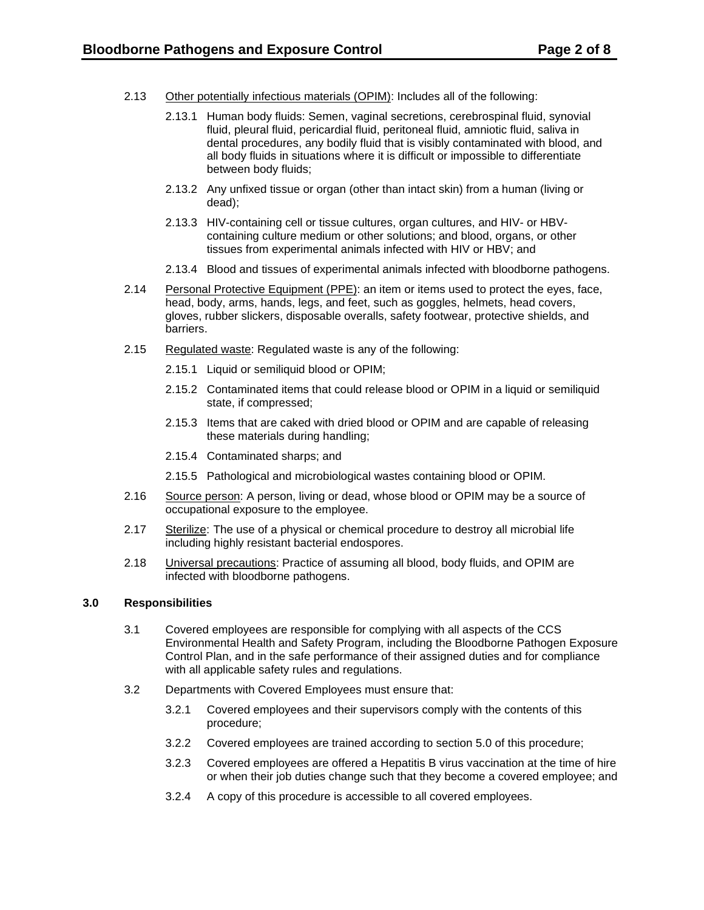- 2.13 Other potentially infectious materials (OPIM): Includes all of the following:
	- dental procedures, any bodily fluid that is visibly contaminated with blood, and all body fluids in situations where it is difficult or impossible to differentiate 2.13.1 Human body fluids: Semen, vaginal secretions, cerebrospinal fluid, synovial fluid, pleural fluid, pericardial fluid, peritoneal fluid, amniotic fluid, saliva in between body fluids;
	- 2.13.2 Any unfixed tissue or organ (other than intact skin) from a human (living or dead);
	- tissues from experimental animals infected with HIV or HBV; and 2.13.3 HIV-containing cell or tissue cultures, organ cultures, and HIV- or HBVcontaining culture medium or other solutions; and blood, organs, or other
	- 2.13.4 Blood and tissues of experimental animals infected with bloodborne pathogens.
- head, body, arms, hands, legs, and feet, such as goggles, helmets, head covers, 2.14 Personal Protective Equipment (PPE): an item or items used to protect the eyes, face, gloves, rubber slickers, disposable overalls, safety footwear, protective shields, and barriers.
- 2.15 Regulated waste: Regulated waste is any of the following:
	- 2.15.1 Liquid or semiliquid blood or OPIM;
	- 2.15.2 Contaminated items that could release blood or OPIM in a liquid or semiliquid state, if compressed;
	- 2.15.3 Items that are caked with dried blood or OPIM and are capable of releasing these materials during handling;
	- 2.15.4 Contaminated sharps; and
	- 2.15.5 Pathological and microbiological wastes containing blood or OPIM.
- $2.16$ Source person: A person, living or dead, whose blood or OPIM may be a source of occupational exposure to the employee.
- 2.17 Sterilize: The use of a physical or chemical procedure to destroy all microbial life including highly resistant bacterial endospores.
- 2.18 **Universal precautions:** Practice of assuming all blood, body fluids, and OPIM are infected with bloodborne pathogens.

#### **3.0 Responsibilities**

- 3.1 Covered employees are responsible for complying with all aspects of the CCS Environmental Health and Safety Program, including the Bloodborne Pathogen Exposure Control Plan, and in the safe performance of their assigned duties and for compliance with all applicable safety rules and regulations.
- 3.2 Departments with Covered Employees must ensure that:
	- 3.2.1 Covered employees and their supervisors comply with the contents of this procedure;
	- 3.2.2 Covered employees are trained according to section 5.0 of this procedure;
	- 3.2.3 Covered employees are offered a Hepatitis B virus vaccination at the time of hire or when their job duties change such that they become a covered employee; and
	- 3.2.4 A copy of this procedure is accessible to all covered employees.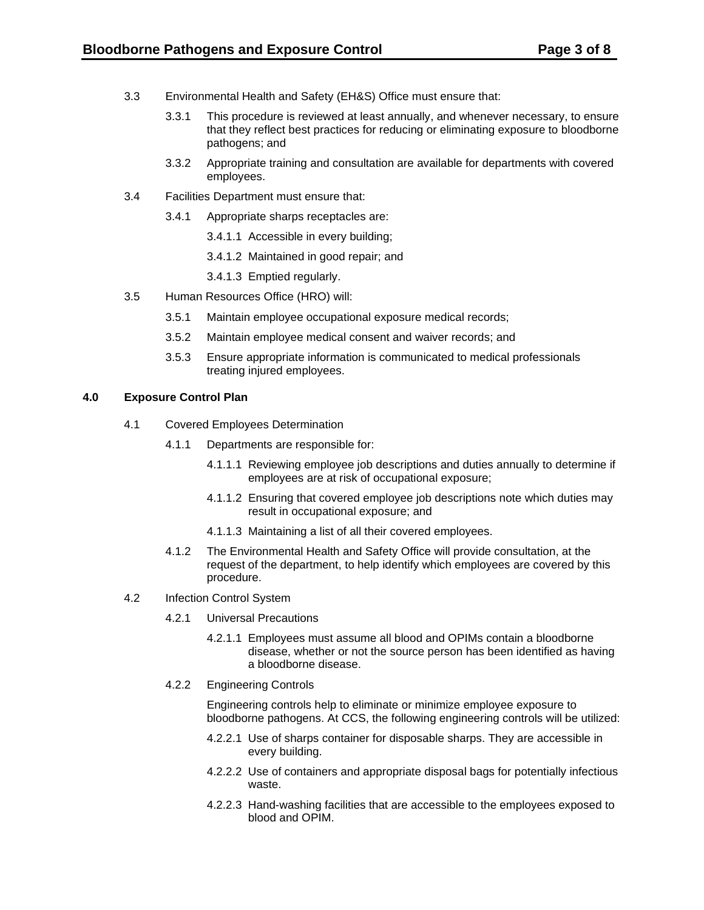- 3.3 Environmental Health and Safety (EH&S) Office must ensure that:
	- 3.3.1 This procedure is reviewed at least annually, and whenever necessary, to ensure that they reflect best practices for reducing or eliminating exposure to bloodborne pathogens; and
	- 3.3.2 Appropriate training and consultation are available for departments with covered employees.
- 3.4 Facilities Department must ensure that:
	- 3.4.1 Appropriate sharps receptacles are:
		- 3.4.1.1 Accessible in every building;
		- 3.4.1.2 Maintained in good repair; and
		- 3.4.1.3 Emptied regularly.
- 3.5 Human Resources Office (HRO) will:
	- $3.5.1$ Maintain employee occupational exposure medical records;
	- $3.5.2$ Maintain employee medical consent and waiver records; and
	- $3.5.3$ Ensure appropriate information is communicated to medical professionals treating injured employees.

#### **4.0 Exposure Control Plan**

- 4.1 Covered Employees Determination
	- 4.1.1 Departments are responsible for:
		- 4.1.1.1 Reviewing employee job descriptions and duties annually to determine if employees are at risk of occupational exposure;
		- 4.1.1.2 Ensuring that covered employee job descriptions note which duties may result in occupational exposure; and
		- 4.1.1.3 Maintaining a list of all their covered employees.
	- 4.1.2 The Environmental Health and Safety Office will provide consultation, at the request of the department, to help identify which employees are covered by this procedure.
- 4.2 Infection Control System
	- 4.2.1 Universal Precautions
		- disease, whether or not the source person has been identified as having 4.2.1.1 Employees must assume all blood and OPIMs contain a bloodborne a bloodborne disease.
	- 4.2.2 Engineering Controls

Engineering controls help to eliminate or minimize employee exposure to bloodborne pathogens. At CCS, the following engineering controls will be utilized:

- every building. 4.2.2.1 Use of sharps container for disposable sharps. They are accessible in
- 4.2.2.2 Use of containers and appropriate disposal bags for potentially infectious waste.
- 4.2.2.3 Hand-washing facilities that are accessible to the employees exposed to blood and OPIM.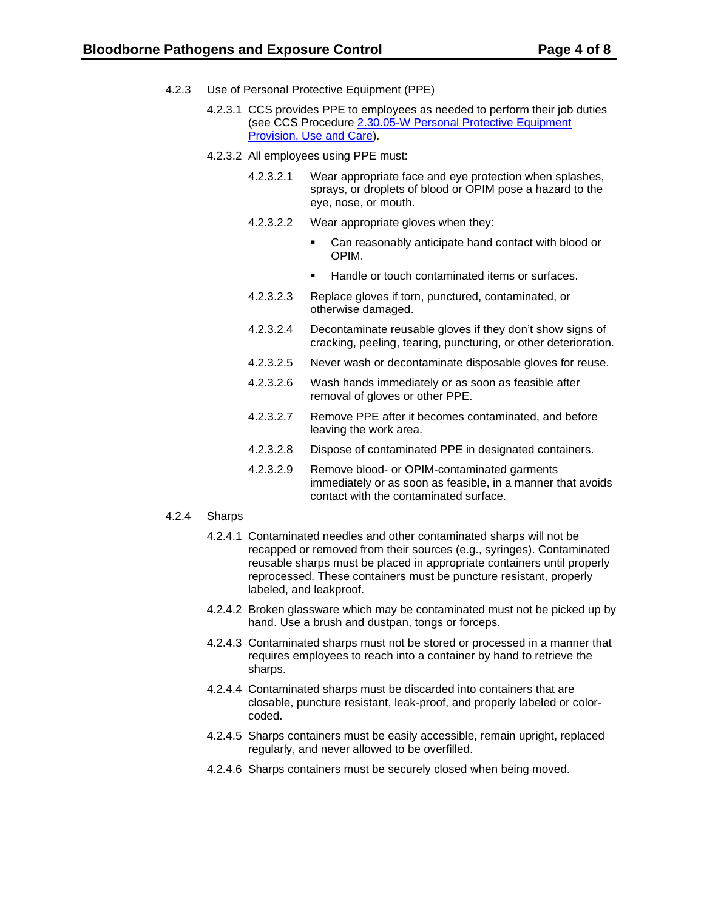- $4.2.3$ Use of Personal Protective Equipment (PPE)
	- 4.2.3.1 CCS provides PPE to employees as needed to perform their job duties (see CCS Procedure [2.30.05-W Personal Protective Equipment](https://shared.spokane.edu/ccsglobal/media/Global/PDFs/District/Policies/CH2/2.30.05_WorkplaceSafety/2-30-05W_PersonalProtectiveEquipment.pdf)  [Provision, Use and Care\)](https://shared.spokane.edu/ccsglobal/media/Global/PDFs/District/Policies/CH2/2.30.05_WorkplaceSafety/2-30-05W_PersonalProtectiveEquipment.pdf).
	- 4.2.3.2 All employees using PPE must:
		- eye, nose, or mouth. 4.2.3.2.1 Wear appropriate face and eye protection when splashes, sprays, or droplets of blood or OPIM pose a hazard to the
		- 4.2.3.2.2 Wear appropriate gloves when they:
			- Can reasonably anticipate hand contact with blood or OPIM.
			- Handle or touch contaminated items or surfaces.
		- 4.2.3.2.3 Replace gloves if torn, punctured, contaminated, or otherwise damaged.
		- 4.2.3.2.4 Decontaminate reusable gloves if they don't show signs of cracking, peeling, tearing, puncturing, or other deterioration.
		- 4.2.3.2.5 Never wash or decontaminate disposable gloves for reuse.
		- 4.2.3.2.6 Wash hands immediately or as soon as feasible after removal of gloves or other PPE.
		- 4.2.3.2.7 Remove PPE after it becomes contaminated, and before leaving the work area.
		- 4.2.3.2.8 Dispose of contaminated PPE in designated containers.
		- 4.2.3.2.9 Remove blood- or OPIM-contaminated garments immediately or as soon as feasible, in a manner that avoids contact with the contaminated surface.

#### $4.2.4$ 4.2.4 Sharps

- 4.2.4.1 Contaminated needles and other contaminated sharps will not be recapped or removed from their sources (e.g., syringes). Contaminated reusable sharps must be placed in appropriate containers until properly reprocessed. These containers must be puncture resistant, properly labeled, and leakproof.
- 4.2.4.2 Broken glassware which may be contaminated must not be picked up by hand. Use a brush and dustpan, tongs or forceps.
- 4.2.4.3 Contaminated sharps must not be stored or processed in a manner that requires employees to reach into a container by hand to retrieve the sharps.
- 4.2.4.4 Contaminated sharps must be discarded into containers that are closable, puncture resistant, leak-proof, and properly labeled or colorcoded.
- 4.2.4.5 Sharps containers must be easily accessible, remain upright, replaced regularly, and never allowed to be overfilled.
- 4.2.4.6 Sharps containers must be securely closed when being moved.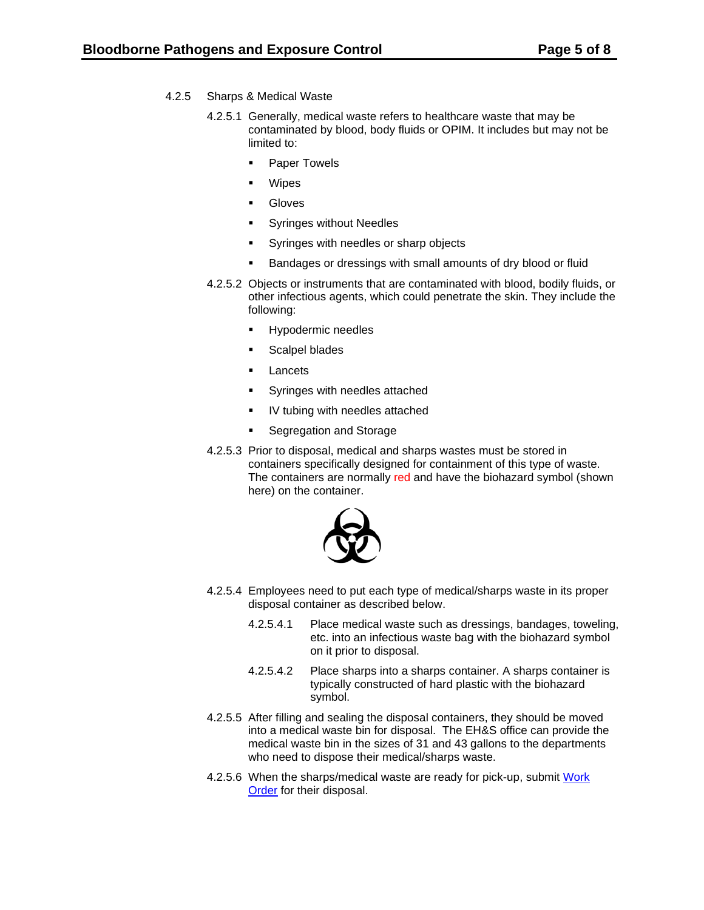- $4.2.5$ Sharps & Medical Waste
	- contaminated by blood, body fluids or OPIM. It includes but may not be 4.2.5.1 Generally, medical waste refers to healthcare waste that may be limited to:
		- **Paper Towels**
		- Wipes
		- **Gloves**
		- **Syringes without Needles**
		- Syringes with needles or sharp objects
		- Bandages or dressings with small amounts of dry blood or fluid
	- 4.2.5.2 Objects or instruments that are contaminated with blood, bodily fluids, or other infectious agents, which could penetrate the skin. They include the following:
		- **Hypodermic needles**
		- **Scalpel blades**
		- **Lancets**
		- **Syringes with needles attached**
		- IV tubing with needles attached
		- **Segregation and Storage**
	- 4.2.5.3 Prior to disposal, medical and sharps wastes must be stored in containers specifically designed for containment of this type of waste. The containers are normally red and have the biohazard symbol (shown here) on the container.



- 4.2.5.4 Employees need to put each type of medical/sharps waste in its proper disposal container as described below.
	- 4.2.5.4.1 Place medical waste such as dressings, bandages, toweling, etc. into an infectious waste bag with the biohazard symbol on it prior to disposal.
	- 4.2.5.4.2 Place sharps into a sharps container. A sharps container is typically constructed of hard plastic with the biohazard symbol.
- 4.2.5.5 After filling and sealing the disposal containers, they should be moved into a medical waste bin for disposal. The EH&S office can provide the medical waste bin in the sizes of 31 and 43 gallons to the departments who need to dispose their medical/sharps waste.
- [Order](https://dlweb.megamation.com/spokanecc/DLWEB.php/O4W_INFO_PAGE) for their disposal. 4.2.5.6 When the sharps/medical waste are ready for pick-up, submit [Work](https://dlweb.megamation.com/spokanecc/DLWEB.php/O4W_INFO_PAGE)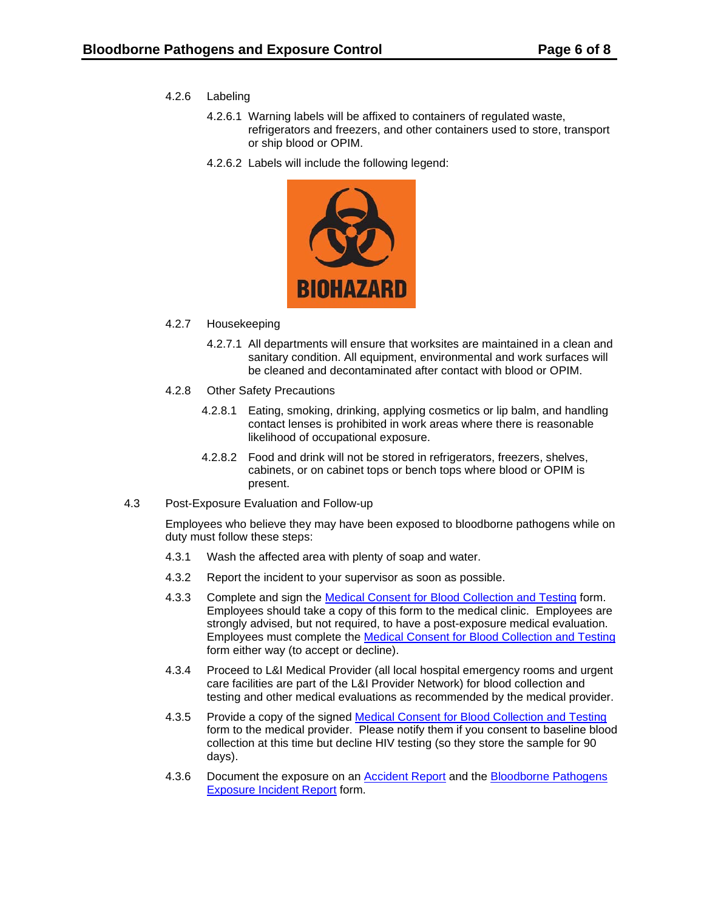- $4.2.6$ Labeling
	- 4.2.6.1 Warning labels will be affixed to containers of regulated waste, refrigerators and freezers, and other containers used to store, transport or ship blood or OPIM.
	- 4.2.6.2 Labels will include the following legend:



#### 4.2.7 Housekeeping

- 4.2.7.1 All departments will ensure that worksites are maintained in a clean and sanitary condition. All equipment, environmental and work surfaces will be cleaned and decontaminated after contact with blood or OPIM.
- 4.2.8 Other Safety Precautions
	- 4.2.8.1 Eating, smoking, drinking, applying cosmetics or lip balm, and handling contact lenses is prohibited in work areas where there is reasonable likelihood of occupational exposure.
	- 4.2.8.2 Food and drink will not be stored in refrigerators, freezers, shelves, cabinets, or on cabinet tops or bench tops where blood or OPIM is present.
- 4.3 Post-Exposure Evaluation and Follow-up

Employees who believe they may have been exposed to bloodborne pathogens while on duty must follow these steps:

- 4.3.1 Wash the affected area with plenty of soap and water.
- 4.3.2 Report the incident to your supervisor as soon as possible.
- Complete and sign the Medical Consent for Blood Collection and Testing form. 4.3.3 Complete and sign the <u>Medical Consent for Blood Collection and Testing</u> form.<br>Employees should take a copy of this form to the medical clinic. Employees are strongly advised, but not required, to have a post-exposure medical evaluation. Employees must complete the [Medical Consent for Blood Collection and Testing](https://ccsnet.ccs.spokane.edu/-Forms-A-Z/Forms---CCS-Intranet/ccs-12-106.aspx)  form either way (to accept or decline).
- 4.3.4 Proceed to L&I Medical Provider (all local hospital emergency rooms and urgent care facilities are part of the L&I Provider Network) for blood collection and testing and other medical evaluations as recommended by the medical provider.
- 4.3.5 Provide a copy of the signed Medical Consent for Blood Collection and Testing form to the medical provider. Please notify them if you consent to baseline blood collection at this time but decline HIV testing (so they store the sample for 90 days).
- [Exposure Incident Report](https://shared.spokane.edu/ccsglobal/media/Global/FormsA-Z/ccs-1295.pdf) form. 4.3.6 Document the exposure on an [Accident Report](https://shared.spokane.edu/ccsglobal/media/Global/FormsA-Z/ccs-1220.pdf) and the [Bloodborne Pathogens](https://shared.spokane.edu/ccsglobal/media/Global/FormsA-Z/ccs-1295.pdf)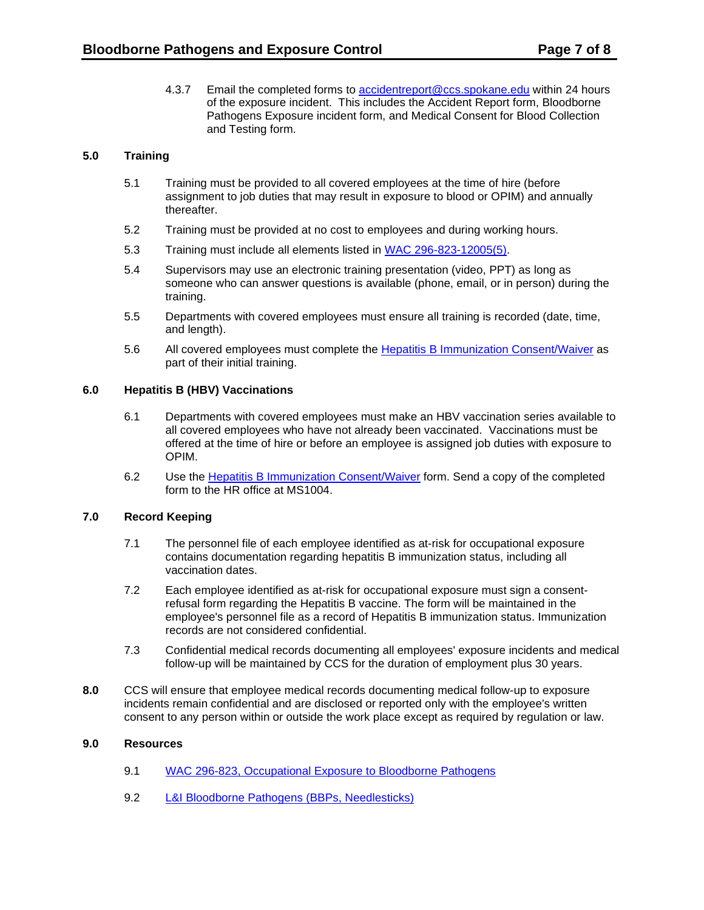4.3.7 Email the completed forms to [accidentreport@ccs.spokane.edu](mailto:accidentreport@ccs.spokane.edu) within 24 hours of the exposure incident. This includes the Accident Report form, Bloodborne Pathogens Exposure incident form, and Medical Consent for Blood Collection and Testing form.

# **5.0 Training**

- 5.1 Training must be provided to all covered employees at the time of hire (before assignment to job duties that may result in exposure to blood or OPIM) and annually thereafter.
- 5.2 Training must be provided at no cost to employees and during working hours.
- 5.3 Training must include all elements listed in [WAC 296-823-12005\(5\).](http://apps.leg.wa.gov/WAC/default.aspx?cite=296-823-12005)
- 5.4 Supervisors may use an electronic training presentation (video, PPT) as long as someone who can answer questions is available (phone, email, or in person) during the training.
- 5.5 Departments with covered employees must ensure all training is recorded (date, time, and length).
- 5.6 All covered employees must complete the [Hepatitis B Immunization Consent/Waiver](https://shared.spokane.edu/ccsglobal/media/Global/FormsA-Z/ccs-12-105.pdf) as part of their initial training.

#### **6.0 Hepatitis B (HBV) Vaccinations**

- all covered employees who have not already been vaccinated. Vaccinations must be 6.1 Departments with covered employees must make an HBV vaccination series available to offered at the time of hire or before an employee is assigned job duties with exposure to OPIM.
- 6.2 Use the **Hepatitis B Immunization Consent/Waiver** form. Send a copy of the completed form to the HR office at MS1004.

# **7.0 Record Keeping**

- 7.1 The personnel file of each employee identified as at-risk for occupational exposure contains documentation regarding hepatitis B immunization status, including all vaccination dates.
- 7.2 Each employee identified as at-risk for occupational exposure must sign a consentrefusal form regarding the Hepatitis B vaccine. The form will be maintained in the employee's personnel file as a record of Hepatitis B immunization status. Immunization records are not considered confidential.
- 7.3 Confidential medical records documenting all employees' exposure incidents and medical follow-up will be maintained by CCS for the duration of employment plus 30 years.
- **8.0** CCS will ensure that employee medical records documenting medical follow-up to exposure incidents remain confidential and are disclosed or reported only with the employee's written consent to any person within or outside the work place except as required by regulation or law.

# **9.0 Resources**

- 9.1 [WAC 296-823, Occupational Exposure to Bloodborne Pathogens](http://apps.leg.wa.gov/WAC/default.aspx?cite=296-823)
- 9.2 L&I Bloodborne Pathogens (BBPs, Needlesticks)